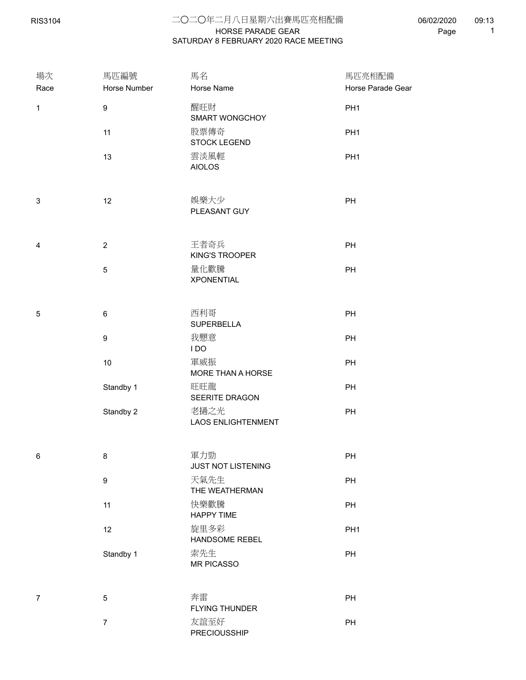RIS3104

## HORSE PARADE GEAR 二○二○年二月八日星期六出賽馬匹亮相配備 SATURDAY 8 FEBRUARY 2020 RACE MEETING

06/02/2020 Page 1 09:13

| 場次<br>Race     | 馬匹編號<br>Horse Number | 馬名<br>Horse Name                  | 馬匹亮相配備<br>Horse Parade Gear |
|----------------|----------------------|-----------------------------------|-----------------------------|
| $\mathbf{1}$   | $\boldsymbol{9}$     | 醒旺財<br>SMART WONGCHOY             | PH <sub>1</sub>             |
|                | 11                   | 股票傳奇<br><b>STOCK LEGEND</b>       | PH <sub>1</sub>             |
|                | 13                   | 雲淡風輕<br><b>AIOLOS</b>             | PH <sub>1</sub>             |
| 3              | 12                   | 娛樂大少<br>PLEASANT GUY              | PH                          |
| 4              | $\overline{c}$       | 王者奇兵<br><b>KING'S TROOPER</b>     | PH                          |
|                | $\,$ 5 $\,$          | 量化歡騰<br><b>XPONENTIAL</b>         | PH                          |
| 5              | 6                    | 西利哥<br>SUPERBELLA                 | PH                          |
|                | 9                    | 我愿意<br>IDO                        | PH                          |
|                | 10                   | 軍威振<br>MORE THAN A HORSE          | PH                          |
|                | Standby 1            | 旺旺龍<br>SEERITE DRAGON             | PH                          |
|                | Standby 2            | 老撾之光<br><b>LAOS ENLIGHTENMENT</b> | PH                          |
| $\,6$          | 8                    | 軍力勁                               | PH                          |
|                | 9                    | JUST NOT LISTENING<br>天氣先生        | $\mathsf{PH}$               |
|                |                      | THE WEATHERMAN                    |                             |
|                | 11                   | 快樂歡騰<br><b>HAPPY TIME</b>         | PH                          |
|                | 12                   | 旋里多彩<br>HANDSOME REBEL            | PH <sub>1</sub>             |
|                | Standby 1            | 索先生<br>MR PICASSO                 | PH                          |
| $\overline{7}$ | 5                    | 奔雷<br>FLYING THUNDER              | PH                          |
|                | $\boldsymbol{7}$     | 友誼至好<br>PRECIOUSSHIP              | PH                          |